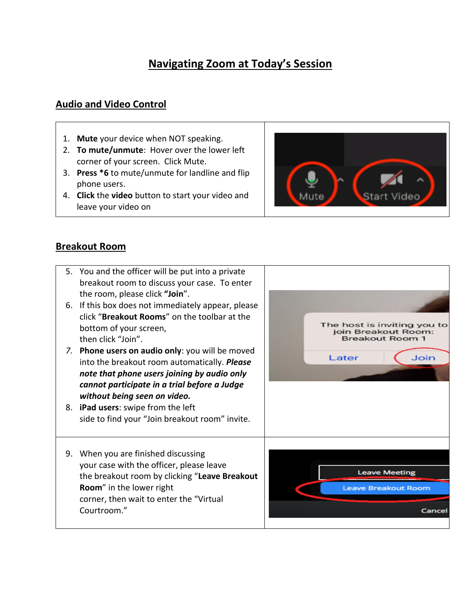## **Navigating Zoom at Today's Session**

## **Audio and Video Control**

- 1. **Mute** your device when NOT speaking.
- 2. **To mute/unmute**: Hover over the lower left corner of your screen. Click Mute.
- 3. **Press \*6** to mute/unmute for landline and flip phone users.
- 4. **Click** the **video** button to start your video and leave your video on



## **Breakout Room**